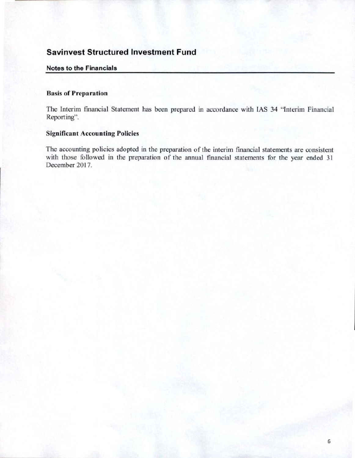#### **Notes to the Financials**

#### **Basis of Preparation**

The Interim fmancial Statement has been prepared in accordance with IAS 34 "Interim Financial Reporting".

### **Significant Accounting Policies**

The accounting policies adopted in the preparation of the interim financial statements are consistent with those followed in the preparation of the annual financial statements for the year ended 31 December 2017.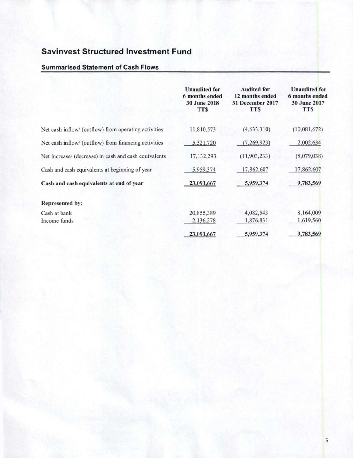### **Summarised Statement of Cash Flows**

|                                                       | <b>Unaudited for</b><br>6 months ended<br>30 June 2018<br><b>TTS</b> | <b>Audited for</b><br>12 months ended<br>31 December 2017<br><b>TTS</b> | <b>Unaudited for</b><br>6 months ended<br>30 June 2017<br><b>TTS</b> |
|-------------------------------------------------------|----------------------------------------------------------------------|-------------------------------------------------------------------------|----------------------------------------------------------------------|
| Net cash inflow/ (outflow) from operating activities  | 11,810,573                                                           | (4, 633, 310)                                                           | (10,081,672)                                                         |
| Net cash inflow/ (outflow) from financing activities  | 5,321,720                                                            | (7, 269, 923)                                                           | 2,002,634                                                            |
| Net increase/ (decrease) in cash and cash equivalents | 17, 132, 293                                                         | (11,903,233)                                                            | (8,079,038)                                                          |
| Cash and cash equivalents at beginning of year        | 5,959,374                                                            | 17,862,607                                                              | 17,862,607                                                           |
| Cash and cash equivalents at end of year              | 23,091,667                                                           | 5,959,374                                                               | 9,783,569                                                            |
| <b>Represented by:</b>                                |                                                                      |                                                                         |                                                                      |
| Cash at bank                                          | 20,855,389                                                           | 4,082,543                                                               | 8,164,009                                                            |
| Income funds                                          | 2,136,278                                                            | 1,876,831                                                               | 1,619,560                                                            |
|                                                       | 23,091,667                                                           | 5,959,374                                                               | 9,783,569                                                            |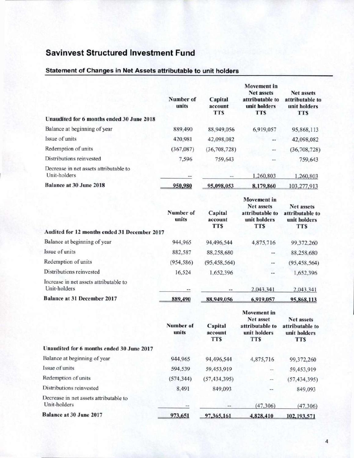## Statement of Changes in Net Assets attributable to unit holders

| Unaudited for 6 months ended 30 June 2018              | Number of<br>units | Capital<br>account<br><b>TTS</b> | Movement in<br><b>Net assets</b><br>attributable to<br>unit holders<br><b>TTS</b> | <b>Net assets</b><br>attributable to<br>unit holders<br><b>TTS</b> |
|--------------------------------------------------------|--------------------|----------------------------------|-----------------------------------------------------------------------------------|--------------------------------------------------------------------|
| Balance at beginning of year                           | 889,490            | 88,949,056                       | 6,919,057                                                                         | 95,868,113                                                         |
| Issue of units                                         | 420,981            | 42,098,082                       | $\frac{1}{2}$                                                                     | 42,098,082                                                         |
| Redemption of units                                    | (367,087)          | (36, 708, 728)                   | $\cdots$                                                                          | (36, 708, 728)                                                     |
| Distributions reinvested                               | 7,596              | 759,643                          | --                                                                                | 759,643                                                            |
| Decrease in net assets attributable to<br>Unit-holders | $\cdots$           | --                               | 1,260,803                                                                         | 1,260,803                                                          |
| <b>Balance at 30 June 2018</b>                         | 950,980            | 95,098,053                       | 8,179,860                                                                         | 103.277.913                                                        |

|                                                        | Number of<br>units | Capital<br>account<br><b>TTS</b> | <b>Movement</b> in<br>Net assets<br>attributable to<br>unit holders<br><b>TTS</b> | <b>Net assets</b><br>attributable to<br>unit holders<br><b>TTS</b> |
|--------------------------------------------------------|--------------------|----------------------------------|-----------------------------------------------------------------------------------|--------------------------------------------------------------------|
| Audited for 12 months ended 31 December 2017           |                    |                                  |                                                                                   |                                                                    |
| Balance at beginning of year                           | 944,965            | 94,496,544                       | 4,875,716                                                                         | 99,372,260                                                         |
| Issue of units                                         | 882,587            | 88,258,680                       |                                                                                   | 88,258,680                                                         |
| Redemption of units                                    | (954, 586)         | (95, 458, 564)                   | $\rightarrow$                                                                     | (95, 458, 564)                                                     |
| Distributions reinvested                               | 16,524             | 1,652,396                        |                                                                                   | 1,652,396                                                          |
| Increase in net assets attributable to<br>Unit-holders | $***$              | $-1$                             | 2,043,341                                                                         | 2,043.341                                                          |
| <b>Balance at 31 December 2017</b>                     | 889,490            | 88,949,056                       | 6,919,057                                                                         | 95,868,113                                                         |
|                                                        | Number of<br>units | Capital<br>account<br><b>TTS</b> | <b>Movement</b> in<br>Net asset<br>attributable to<br>unit holders<br><b>TTS</b>  | <b>Net assets</b><br>attributable to<br>unit holders<br><b>TTS</b> |
| Unaudited for 6 months ended 30 June 2017              |                    |                                  |                                                                                   |                                                                    |
| Balance at beginning of year                           | 944,965            | 94,496,544                       | 4,875,716                                                                         | 99,372,260                                                         |
| Issue of units                                         | 594,539            | 59,453,919                       | --                                                                                | 59,453,919                                                         |
| Redemption of units                                    | (574, 344)         | (57, 434, 395)                   | --                                                                                | (57, 434, 395)                                                     |
| Distributions reinvested                               | 8,491              | 849,093                          | $+ +$                                                                             | 849,093                                                            |
| Decrease in net assets attributable to<br>Unit-holders |                    | --                               | (47, 306)                                                                         | (47, 306)                                                          |
| <b>Balance at 30 June 2017</b>                         | 973,651            | 97,365,161                       | 4,828,410                                                                         | 102,193,571                                                        |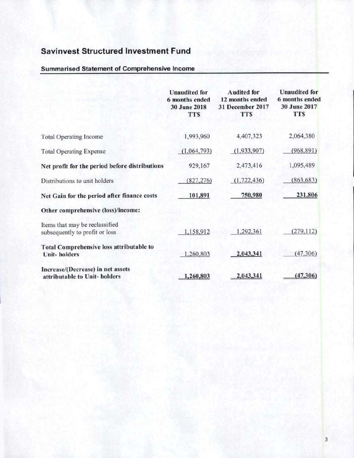### Summarised Statement of Comprehensive Income

|                                                                        | <b>Unaudited for</b><br>6 months ended<br><b>30 June 2018</b><br><b>TTS</b> | <b>Audited for</b><br>12 months ended<br><b>31 December 2017</b><br><b>TTS</b> | <b>Unaudited</b> for<br>6 months ended<br>30 June 2017<br><b>TTS</b> |
|------------------------------------------------------------------------|-----------------------------------------------------------------------------|--------------------------------------------------------------------------------|----------------------------------------------------------------------|
| <b>Total Operating Income</b>                                          | 1,993,960                                                                   | 4,407,323                                                                      | 2,064,380                                                            |
| <b>Total Operating Expense</b>                                         | (1,064,793)                                                                 | (1,933,907)                                                                    | (968, 891)                                                           |
| Net profit for the period before distributions                         | 929,167                                                                     | 2,473,416                                                                      | 1,095,489                                                            |
| Distributions to unit holders                                          | (827, 276)                                                                  | (1, 722, 436)                                                                  | (863, 683)                                                           |
| Net Gain for the period after finance costs                            | 101,891                                                                     | 750,980                                                                        | 231,806                                                              |
| Other comprehensive (loss)/income:                                     |                                                                             |                                                                                |                                                                      |
| Items that may be reclassified<br>subsequently to profit or loss       | 1,158,912                                                                   | 1,292,361                                                                      | (279, 112)                                                           |
| <b>Total Comprehensive loss attributable to</b><br><b>Unit-holders</b> | 1,260,803                                                                   | 2,043,341                                                                      | (47,306)                                                             |
| Increase/(Decrease) in net assets<br>attributable to Unit-holders      | 1,260,803                                                                   | 2,043,341                                                                      | (47, 306)                                                            |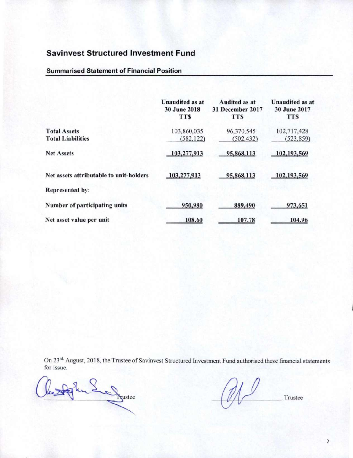### **Summarised Statement of Financial Position**

|                                                 | <b>Unaudited as at</b><br><b>30 June 2018</b><br><b>TTS</b> | <b>Audited as at</b><br>31 December 2017<br><b>TTS</b> | <b>Unaudited as at</b><br><b>30 June 2017</b><br><b>TTS</b> |
|-------------------------------------------------|-------------------------------------------------------------|--------------------------------------------------------|-------------------------------------------------------------|
| <b>Total Assets</b><br><b>Total Liabilities</b> | 103,860,035<br>(582, 122)                                   | 96,370,545<br>(502, 432)                               | 102,717,428<br>(523, 859)                                   |
| <b>Net Assets</b>                               | 103,277,913                                                 | 95,868,113                                             | 102,193,569                                                 |
| Net assets attributable to unit-holders         | 103,277,913                                                 | 95,868,113                                             | 102,193,569                                                 |
| <b>Represented by:</b>                          |                                                             |                                                        |                                                             |
| Number of participating units                   | 950,980                                                     | 889,490                                                | 973,651                                                     |
| Net asset value per unit                        | 108.60                                                      | 107.78                                                 | 104.96                                                      |

On 23<sup>rd.</sup> August, 2018, the Trustee of Savinvest Structured Investment Fund authorised these financial statements for issue.

July 8 Prestee

M)

Trustee